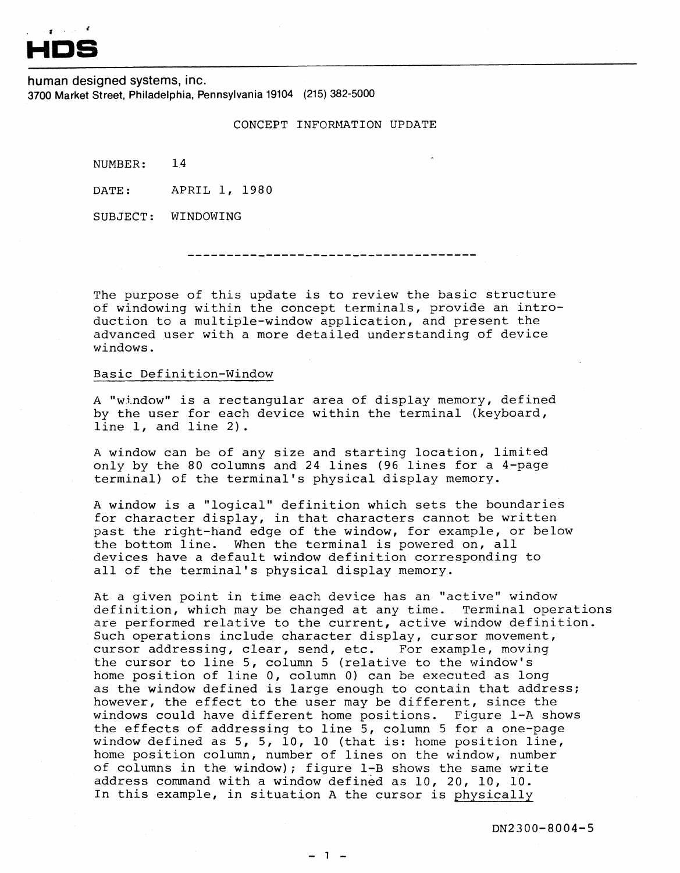

**human** designed systems, inc. 3700 Market Street, Philadelphia, Pennsylvania 19104 (215) 382-5000

#### CONCEPT INFORMATION UPDATE

NUMBER: 14

windows.

DATE: APRIL 1, 1980

SUBJECT: WINDOWING

The purpose of this update is to review the basic structure of windowing within the concept terminals, provide an introduction to a multiple-window application, and present the advanced user with a more detailed understanding of device

### Basic Definition-Window

A "window" is a rectangular area of display memory, defined by the user for each device within the terminal (keyboard, line 1, and line 2).

A window can be of any size and starting location, limited only by the 80 columns and 24 lines (96 lines for a 4-page terminal) of the terminal's physical display memory.

A window is a "logical" definition which sets the boundaries for character display, in that characters cannot be written past the right-hand edge of the window, for example, or below the bottom line. When the terminal is powered on, all devices have a default window definition corresponding to all of the terminal's physical display memory.

At a given point in time each device has an "active" window definition, which may be changed at any time. Terminal operations are performed relative to the current, active window definition. Such operations include character display, cursor movement, cursor addressing, clear, send, etc. For example, moving the cursor to line 5, column 5 (relative to the window's home position of line 0, column 0) can be executed as long as the window defined is large enough to contain that address; however, the effect to the user may be different, since the windows could have different home positions. Figure 1-A shows the effects of addressing to line 5, column 5 for a one-page window defined as 5, 5, 10, 10 (that is: home position line, home position column, number of lines on the window, number of columns in the window); figure l-B shows the same write address command with a window defined as 10, 20, 10, 10. In this example, in situation A the cursor is physically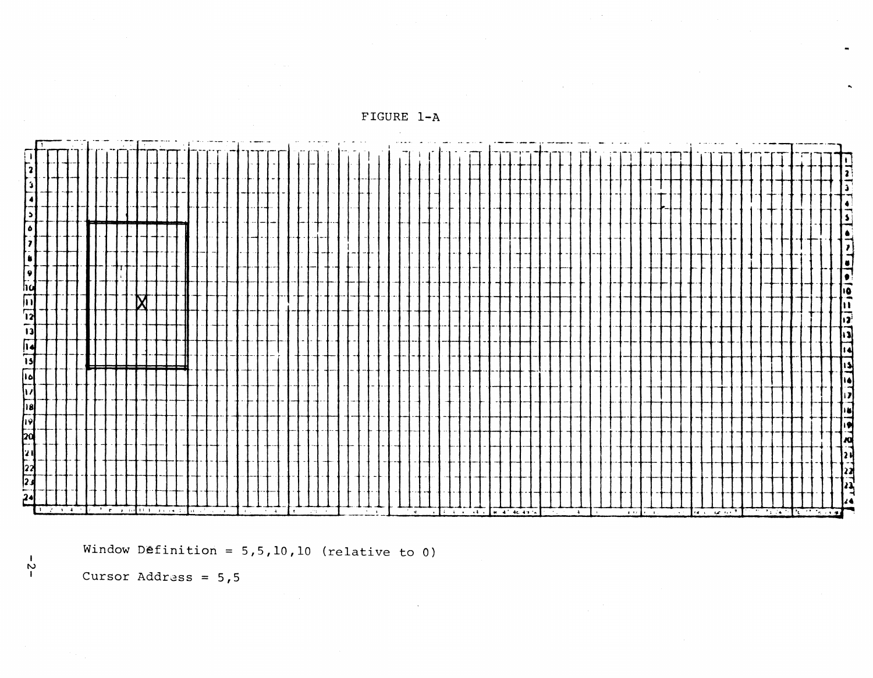FIGURE 1-A



Window Definition =  $5,5,10,10$  (relative to 0)

Cursor Address =  $5,5$ 

 $-5-$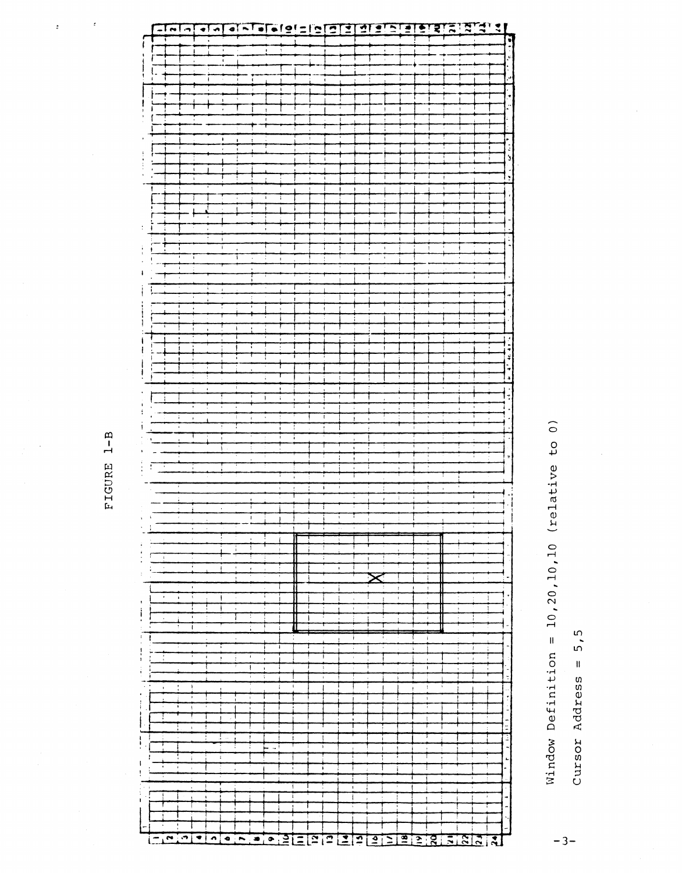

 $\bar{z}$ 

 $\pmb{\tau}$ 

Window Definition =  $10,20,10,10$  (relative to 0)

5,5 Cursor Address  $=$ 

 $-3-$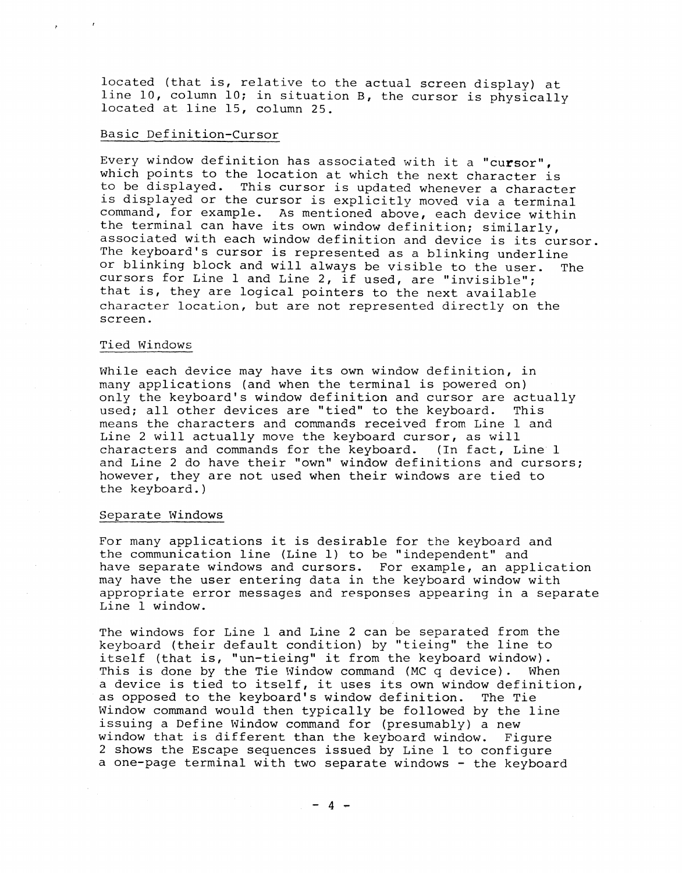located (that is, relative to the actual screen display) at line 10, column 10; in situation B, the cursor is physically located at line 15, column 25.

### Basic Definition-Cursor

Every window definition has associated with it a "cursor", which points to the location at which the next character is to be displayed. This cursor is updated whenever a character is displayed or the cursor is explicitly moved via a terminal command, for example. As mentioned above, each device within the terminal can have its own window definition; similarly, associated with each window definition and device is its cursor. The keyboard's cursor is represented as a blinking underline or blinking block and will always be visible to the user. The cursors for Line 1 and Line 2, if used, are "invisible"; that is, they are logical pointers to the next available character location, but are not represented directly on the screen.

### Tied Windows

While each device may have its own window definition, in many applications (and when the terminal is powered on) only the keyboard's window definition and cursor are actually used: all other devices are "tied" to the keyboard. This used; all other devices are "tied" to the keyboard. means the characters and commands received from Line 1 and Line 2 will actually move the keyboard cursor, as will characters and commands for the keyboard. (In fact, Line 1 and Line 2 do have their "own" window definitions and cursors; however, they are not used when their windows are tied to the keyboard.)

#### Separate Windows

For many applications it is desirable for the keyboard and the communication line (Line 1) to be "independent" and have separate windows and cursors. For example, an application may have the user entering data in the keyboard window with appropriate error messages and responses appearing in a separate Line 1 window.

The windows for Line 1 and Line 2 can be separated from the keyboard (their default condition) by "tieing" the line to itself (that is, "un-tieing" it from the keyboard window). This is done by the Tie Window command (MC q device). When a device is tied to itself, it uses its own window definition, as opposed to the keyboard's window definition. The Tie Window command would then typically be followed by the line issuing a Define Window command for (presumably) a new window that is different than the keyboard window. Figure 2 shows the Escape sequences issued by Line 1 to configure a one-page terminal with two separate windows - the keyboard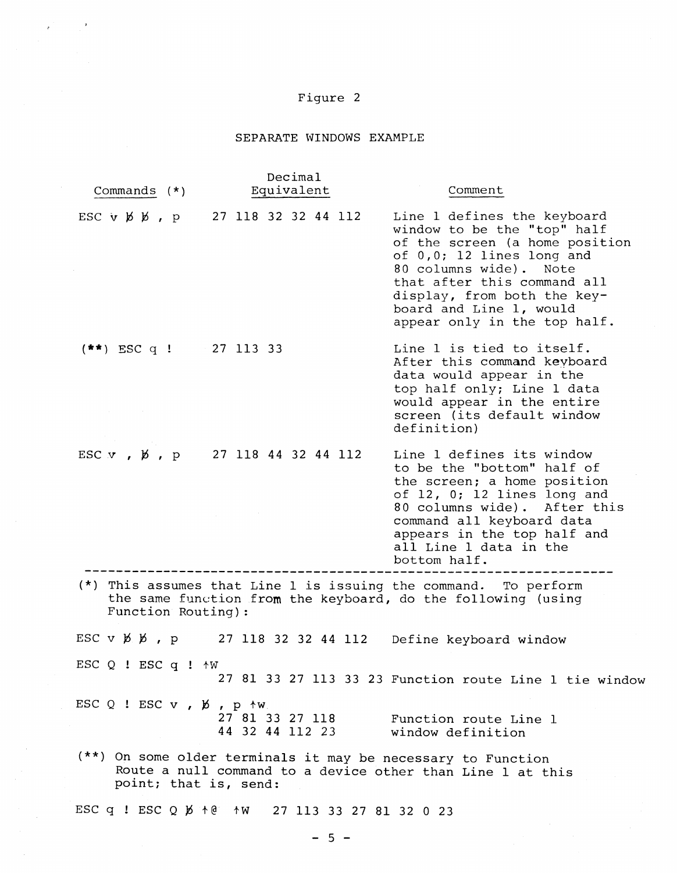$\overline{ }$ 

## SEPARATE WINDOWS EXAMPLE

| Commands $(*)$                                                                                                                                        | Decimal<br>Equivalent                                      | Comment                                                                                                                                                                                                                                                                         |
|-------------------------------------------------------------------------------------------------------------------------------------------------------|------------------------------------------------------------|---------------------------------------------------------------------------------------------------------------------------------------------------------------------------------------------------------------------------------------------------------------------------------|
| ESC $v \not b \not b$ , p                                                                                                                             | 27 118 32 32 44 112                                        | Line 1 defines the keyboard<br>window to be the "top" half<br>of the screen (a home position<br>of 0,0; 12 lines long and<br>80 columns wide).<br>Note<br>that after this command all<br>display, from both the key-<br>board and Line 1, would<br>appear only in the top half. |
| $(**)$ ESC q ! 27 113 33                                                                                                                              |                                                            | Line 1 is tied to itself.<br>After this command keyboard<br>data would appear in the<br>top half only; Line 1 data<br>would appear in the entire<br>screen (its default window<br>definition)                                                                                   |
| ESC $v$ , $\cancel{b}$ , $p$                                                                                                                          | 27 118 44 32 44 112                                        | Line 1 defines its window<br>to be the "bottom" half of<br>the screen; a home position<br>of 12, 0; 12 lines long and<br>80 columns wide). After this<br>command all keyboard data<br>appears in the top half and<br>all Line 1 data in the<br>bottom half.                     |
| (*) This assumes that Line 1 is issuing the command. To perform<br>the same function from the keyboard, do the following (using<br>Function Routing): |                                                            |                                                                                                                                                                                                                                                                                 |
| ESC $v \cancel{b} \cancel{b}$ , p                                                                                                                     | 27 118 32 32 44 112                                        | Define keyboard window                                                                                                                                                                                                                                                          |
| ESC $Q \cdot I$ ESC q $I \uparrow W$                                                                                                                  |                                                            | 27 81 33 27 113 33 23 Function route Line 1 tie window                                                                                                                                                                                                                          |
| ESC $Q$ ! ESC $v$ , $\cancel{b}$ , $p$ $\uparrow w$ .                                                                                                 | 27 81 33 27 118<br>44 32 44 112 23                         | Function route Line 1<br>window definition                                                                                                                                                                                                                                      |
| (**) On some older terminals it may be necessary to Function<br>Route a null command to a device other than Line 1 at this<br>point; that is, send:   |                                                            |                                                                                                                                                                                                                                                                                 |
|                                                                                                                                                       | ESC q ! ESC Q $\cancel{p}$ + @ + w 27 113 33 27 81 32 0 23 |                                                                                                                                                                                                                                                                                 |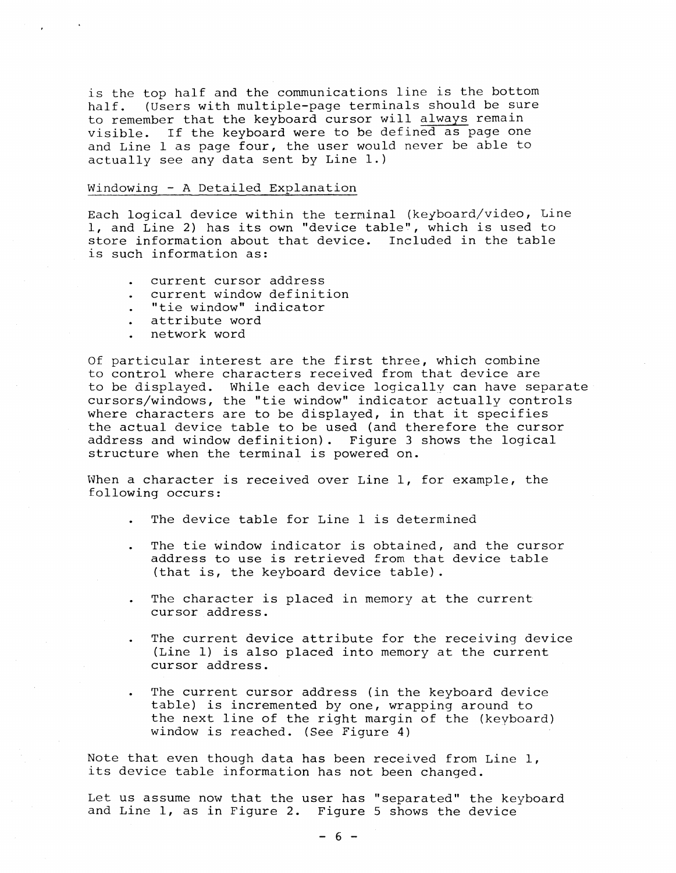is the top half and the communications line is the bottom<br>half. (Users with multiple-page terminals should be sure (Users with multiple-page terminals should be sure to remember that the keyboard cursor will always remain visible. If the keyboard were to be defined as page one and Line 1 as page four, the user would never be able to actually see any data sent by Line 1.)

### Windowing - A Detailed Explanation

Each logical device within the terminal (keyboard/video, Line 1, and Line 2) has its own "device table", which is used to store information about that device. Included in the table is such information as:

- current cursor address
- current window definition
- "tie window" indicator
- attribute word
- network word

Of particular interest are the first three, which combine to control where characters received from that device are to be displayed. While each device logically can have separate cursors/windows, the "tie window" indicator actually controls where characters are to be displayed, in that it specifies the actual device table to be used (and therefore the cursor address and window definition). Figure 3 shows the logical structure when the terminal is powered on.

When a character is received over Line 1, for example, the following occurs:

- The device table for Line 1 is determined
- The tie window indicator is obtained, and the cursor address to use is retrieved from that device table (that is, the keyboard device table).
- The character is placed in memory at the current  $\bullet$  . cursor address.
- The current device attribute for the receiving device (Line 1) is also placed into memory at the current cursor address.
- The current cursor address (in the keyboard device table) is incremented by one, wrapping around to the next line of the right margin of the (keyboard) window is reached. (See Figure 4)

Note that even though data has been received from Line 1, its device table information has not been changed.

Let us assume now that the user has "separated" the keyboard and Line 1, as in Figure 2. Figure 5 shows the device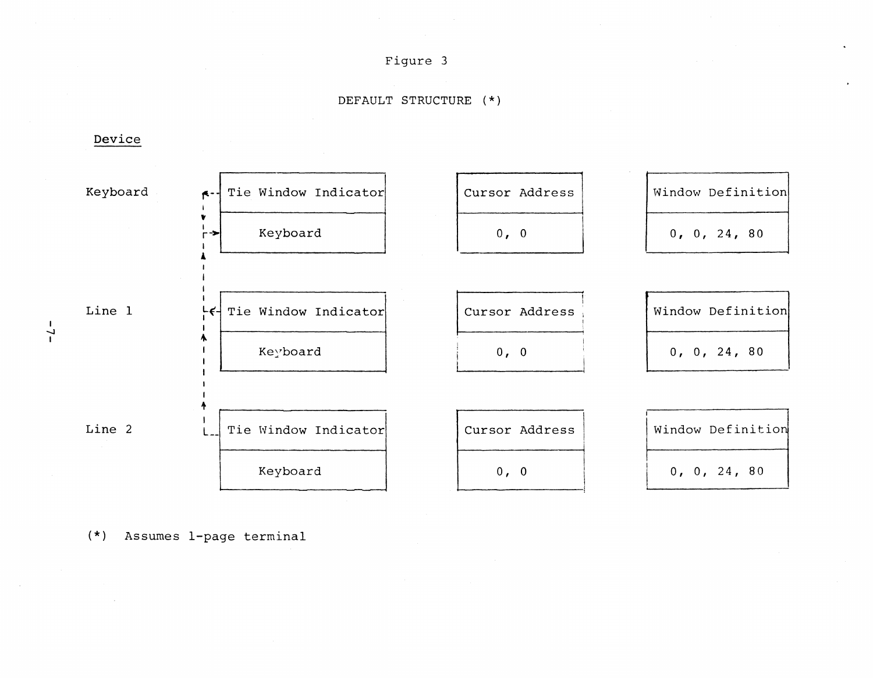### DEFAULT STRUCTURE (\*)

Device

 $-\frac{1}{4}$ 



 $(* )$ Assumes 1-page terminal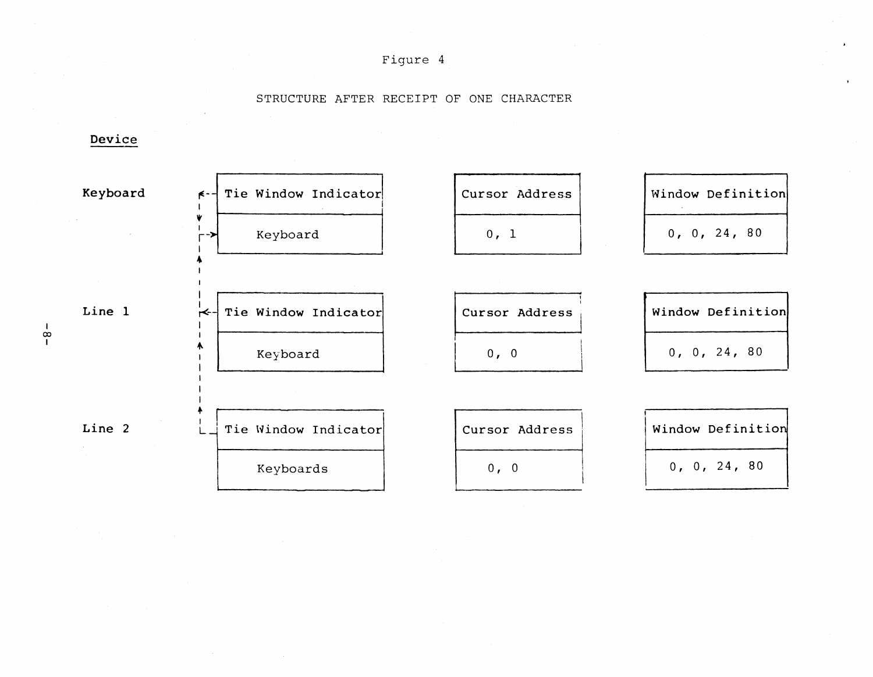STRUCTURE AFTER RECEIPT OF ONE CHARACTER

Device

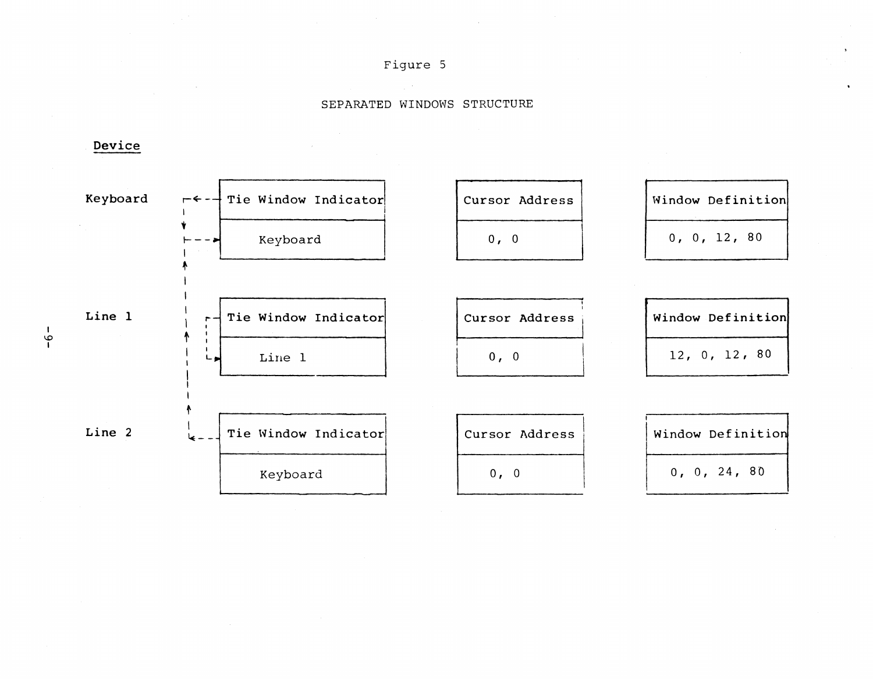$\sim 100$ 

SEPARATED WINDOWS STRUCTURE

 $\ddot{\phantom{a}}$ 

### Device

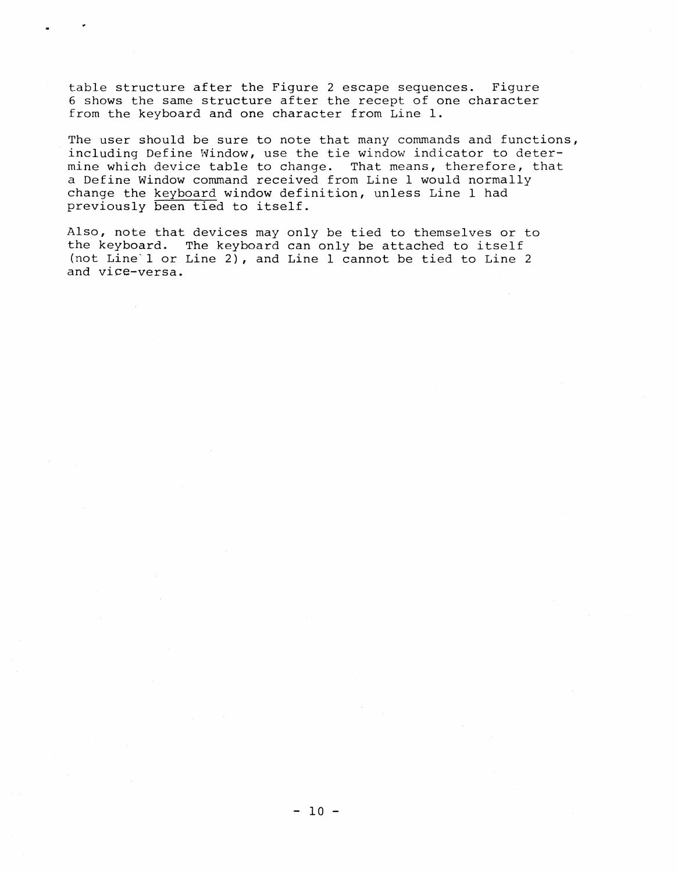table structure after the Figure 2 escape sequences. Figure 6 shows the same structure after the recept of one character from the keyboard and one character from Line 1.

The user should be sure to note that many commands and functions, including Define Window, use the tie window indicator to deter-<br>mine which device table to change. That means, therefore, that mine which device table to change. a Define Window command received from Line 1 would normally change the keyboard window definition, unless Line 1 had previously been tied to itself.

Also, note that devices may only be tied to themselves or to the keyboard. The keyboard can only be attached to itself (not Line'l or Line 2), and Line 1 cannot be tied to Line 2 and vice-versa.